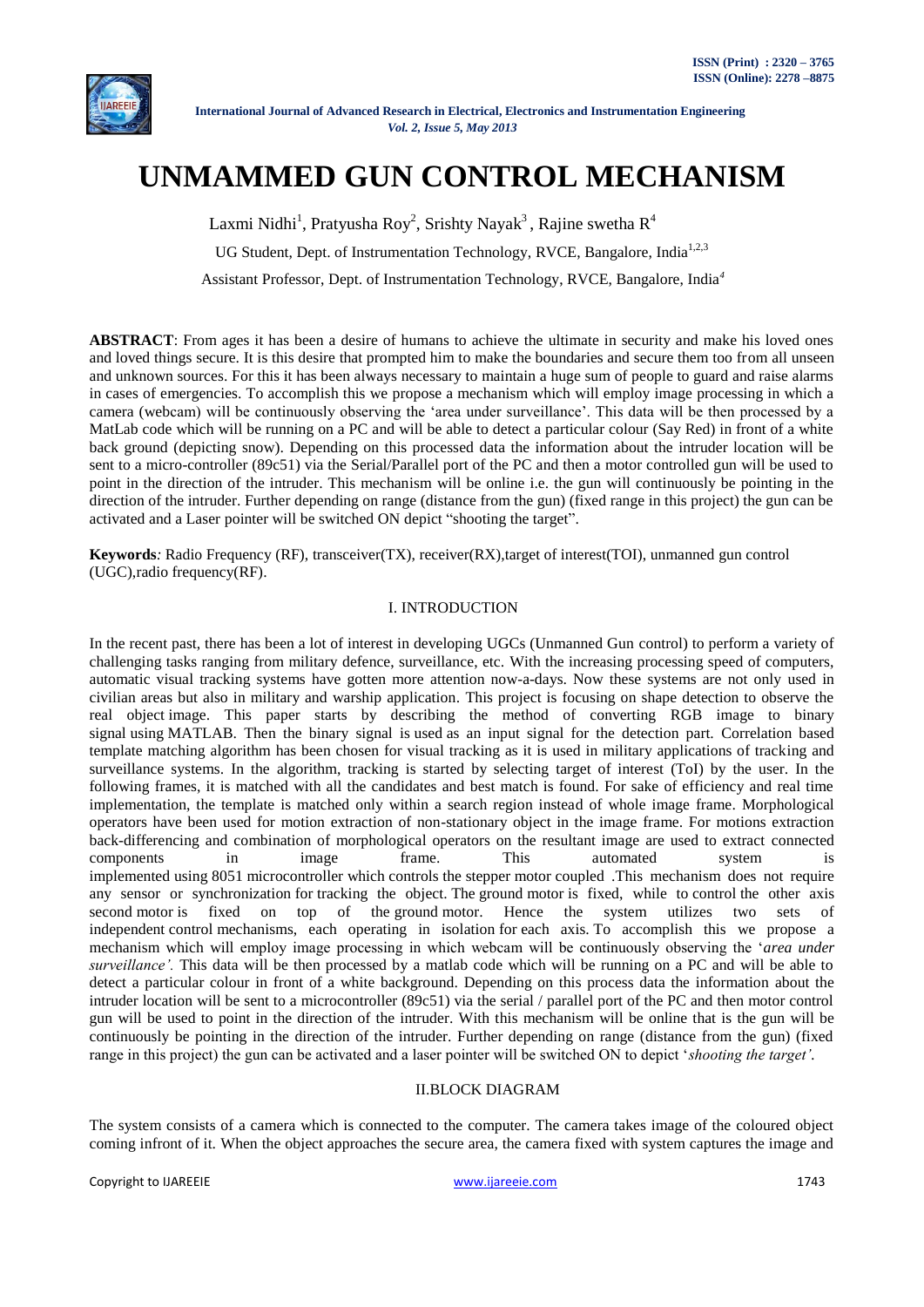

# **UNMAMMED GUN CONTROL MECHANISM**

Laxmi Nidhi<sup>1</sup>, Pratyusha Roy<sup>2</sup>, Srishty Nayak<sup>3</sup>, Rajine swetha R<sup>4</sup>

UG Student, Dept. of Instrumentation Technology, RVCE, Bangalore, India<sup>1,2,3</sup>

Assistant Professor, Dept. of Instrumentation Technology, RVCE, Bangalore, India*<sup>4</sup>*

**ABSTRACT**: From ages it has been a desire of humans to achieve the ultimate in security and make his loved ones and loved things secure. It is this desire that prompted him to make the boundaries and secure them too from all unseen and unknown sources. For this it has been always necessary to maintain a huge sum of people to guard and raise alarms in cases of emergencies. To accomplish this we propose a mechanism which will employ image processing in which a camera (webcam) will be continuously observing the "area under surveillance". This data will be then processed by a MatLab code which will be running on a PC and will be able to detect a particular colour (Say Red) in front of a white back ground (depicting snow). Depending on this processed data the information about the intruder location will be sent to a micro-controller (89c51) via the Serial/Parallel port of the PC and then a motor controlled gun will be used to point in the direction of the intruder. This mechanism will be online i.e. the gun will continuously be pointing in the direction of the intruder. Further depending on range (distance from the gun) (fixed range in this project) the gun can be activated and a Laser pointer will be switched ON depict "shooting the target".

**Keywords***:* Radio Frequency (RF), transceiver(TX), receiver(RX),target of interest(TOI), unmanned gun control (UGC),radio frequency(RF).

## I. INTRODUCTION

In the recent past, there has been a lot of interest in developing UGCs (Unmanned Gun control) to perform a variety of challenging tasks ranging from military defence, surveillance, etc. With the increasing processing speed of computers, automatic visual tracking systems have gotten more attention now-a-days. Now these systems are not only used in civilian areas but also in military and warship application. This project is focusing on shape detection to observe the real object image. This paper starts by describing the method of converting RGB image to binary signal using MATLAB. Then the binary signal is used as an input signal for the detection part. Correlation based template matching algorithm has been chosen for visual tracking as it is used in military applications of tracking and surveillance systems. In the algorithm, tracking is started by selecting target of interest (ToI) by the user. In the following frames, it is matched with all the candidates and best match is found. For sake of efficiency and real time implementation, the template is matched only within a search region instead of whole image frame. Morphological operators have been used for motion extraction of non-stationary object in the image frame. For motions extraction back-differencing and combination of morphological operators on the resultant image are used to extract connected components in image frame. This automated system is implemented using 8051 microcontroller which controls the stepper motor coupled .This mechanism does not require any sensor or synchronization for tracking the object. The ground motor is fixed, while to control the other axis second motor is fixed on top of the ground motor. Hence the system utilizes two sets of independent control mechanisms, each operating in isolation for each axis. To accomplish this we propose a mechanism which will employ image processing in which webcam will be continuously observing the "*area under surveillance'.* This data will be then processed by a matlab code which will be running on a PC and will be able to detect a particular colour in front of a white background. Depending on this process data the information about the intruder location will be sent to a microcontroller (89c51) via the serial / parallel port of the PC and then motor control gun will be used to point in the direction of the intruder. With this mechanism will be online that is the gun will be continuously be pointing in the direction of the intruder. Further depending on range (distance from the gun) (fixed range in this project) the gun can be activated and a laser pointer will be switched ON to depict "*shooting the target'.*

#### II.BLOCK DIAGRAM

The system consists of a camera which is connected to the computer. The camera takes image of the coloured object coming infront of it. When the object approaches the secure area, the camera fixed with system captures the image and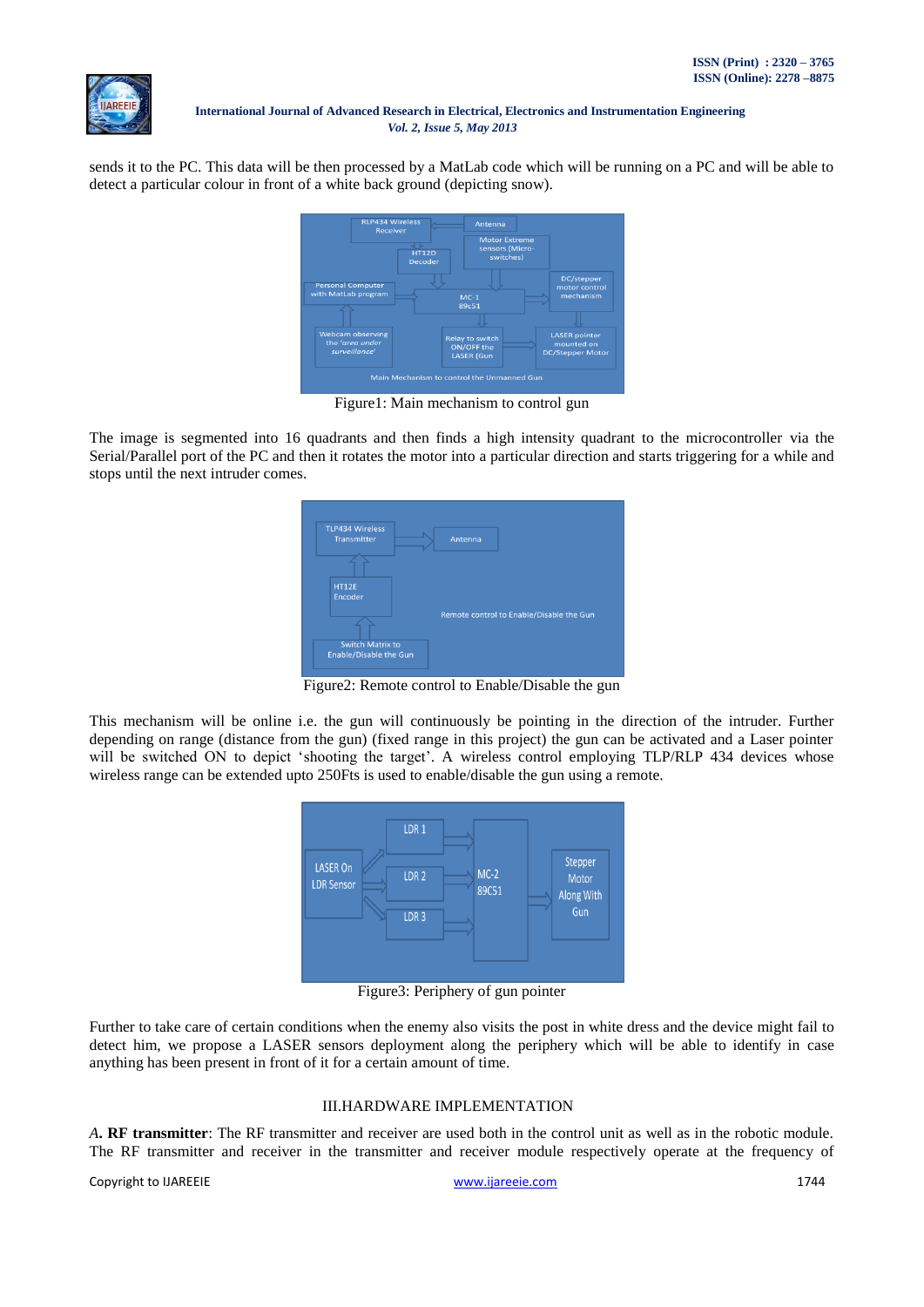

sends it to the PC. This data will be then processed by a MatLab code which will be running on a PC and will be able to detect a particular colour in front of a white back ground (depicting snow).



Figure1: Main mechanism to control gun

The image is segmented into 16 quadrants and then finds a high intensity quadrant to the microcontroller via the Serial/Parallel port of the PC and then it rotates the motor into a particular direction and starts triggering for a while and stops until the next intruder comes.

| <b>TLP434 Wireless</b><br>Transmitter                    | Antenna                                  |
|----------------------------------------------------------|------------------------------------------|
| <b>HT12E</b><br>Encoder                                  |                                          |
|                                                          | Remote control to Enable/Disable the Gun |
| <b>Switch Matrix to</b><br><b>Enable/Disable the Gun</b> |                                          |

Figure2: Remote control to Enable/Disable the gun

This mechanism will be online i.e. the gun will continuously be pointing in the direction of the intruder. Further depending on range (distance from the gun) (fixed range in this project) the gun can be activated and a Laser pointer will be switched ON to depict 'shooting the target'. A wireless control employing TLP/RLP 434 devices whose wireless range can be extended upto 250Fts is used to enable/disable the gun using a remote.



Figure3: Periphery of gun pointer

Further to take care of certain conditions when the enemy also visits the post in white dress and the device might fail to detect him, we propose a LASER sensors deployment along the periphery which will be able to identify in case anything has been present in front of it for a certain amount of time.

## III.HARDWARE IMPLEMENTATION

*A***. RF transmitter**: The RF transmitter and receiver are used both in the control unit as well as in the robotic module. The RF transmitter and receiver in the transmitter and receiver module respectively operate at the frequency of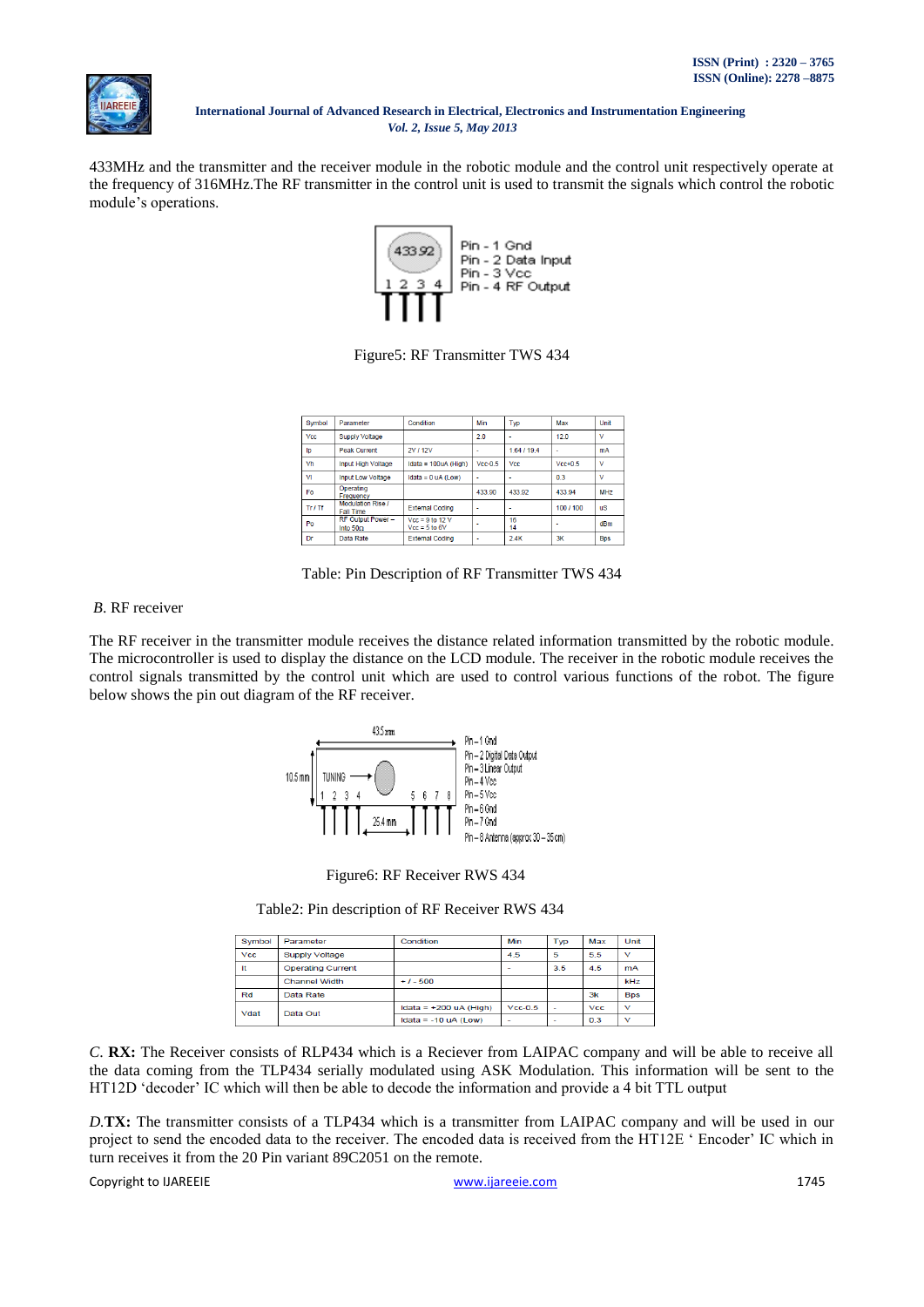

433MHz and the transmitter and the receiver module in the robotic module and the control unit respectively operate at the frequency of 316MHz.The RF transmitter in the control unit is used to transmit the signals which control the robotic module"s operations.



Figure5: RF Transmitter TWS 434

| Symbol     | Parameter                                    | Condition                            | Min       | Typ         | Max       | Unit            |
|------------|----------------------------------------------|--------------------------------------|-----------|-------------|-----------|-----------------|
| <b>Vcc</b> | <b>Supply Voltage</b>                        |                                      | 2.0       | ٠           | 120       | v               |
| ID         | <b>Peak Current</b>                          | 2V / 12V                             | ٠         | 1.64 / 19.4 | ۰         | mA              |
| Vh         | <b>Input High Voltage</b>                    | Idata = $100uA$ (High)               | $Vec-0.5$ | Vcc         | $Vec+0.5$ | v               |
| VI         | Input Low Voltage                            | Idata = $0 uA (Low)$                 |           | ۰           | 0.3       | v               |
| Fo.        | Operating<br>Frequency                       |                                      | 433.90    | 433.92      | 433.94    | MH <sub>7</sub> |
| Tr / Tf    | <b>Modulation Rise /</b><br><b>Fall Time</b> | <b>External Coding</b>               | ٠         | ٠           | 100/100   | <b>uS</b>       |
| Po         | RF Output Power -<br>Into $502$              | $Vec = 9$ to 12 V<br>$Vec = 5$ to 6V | ٠         | 16<br>14    | ۰         | dBm             |
| Dr         | Data Rate                                    | <b>External Coding</b>               | ۰         | 24K         | 3K        | <b>Bps</b>      |

Table: Pin Description of RF Transmitter TWS 434

## *B*. RF receiver

The RF receiver in the transmitter module receives the distance related information transmitted by the robotic module. The microcontroller is used to display the distance on the LCD module. The receiver in the robotic module receives the control signals transmitted by the control unit which are used to control various functions of the robot. The figure below shows the pin out diagram of the RF receiver.





Table2: Pin description of RF Receiver RWS 434

| Symbol     | Parameter                | Condition                | Min       | Typ                      | Max        | Unit         |
|------------|--------------------------|--------------------------|-----------|--------------------------|------------|--------------|
| <b>Vcc</b> | <b>Supply Voltage</b>    |                          | 4.5       | 5                        | 5.5        | $\checkmark$ |
| It         | <b>Operating Current</b> |                          |           | 3.5                      | 4.5        | <b>mA</b>    |
|            | <b>Channel Width</b>     | $+1 - 500$               |           |                          |            | kHz          |
| Rd         | Data Rate                |                          |           |                          | 3k         | <b>Bps</b>   |
| Vdat       | Data Out                 | Idata = $+200$ uA (High) | $Vec-0.5$ | $\overline{\phantom{a}}$ | <b>Vcc</b> | $\checkmark$ |
|            |                          | Idata = $-10$ uA (Low)   | -         | $\overline{\phantom{a}}$ | 0.3        | $\checkmark$ |

*C*. **RX:** The Receiver consists of RLP434 which is a Reciever from LAIPAC company and will be able to receive all the data coming from the TLP434 serially modulated using ASK Modulation. This information will be sent to the HT12D "decoder" IC which will then be able to decode the information and provide a 4 bit TTL output

*D.***TX:** The transmitter consists of a TLP434 which is a transmitter from LAIPAC company and will be used in our project to send the encoded data to the receiver. The encoded data is received from the HT12E " Encoder" IC which in turn receives it from the 20 Pin variant 89C2051 on the remote.

Copyright to IJAREEIE and the community of the community of the community of the community of the community of the community of the community of the community of the community of the community of the community of the commu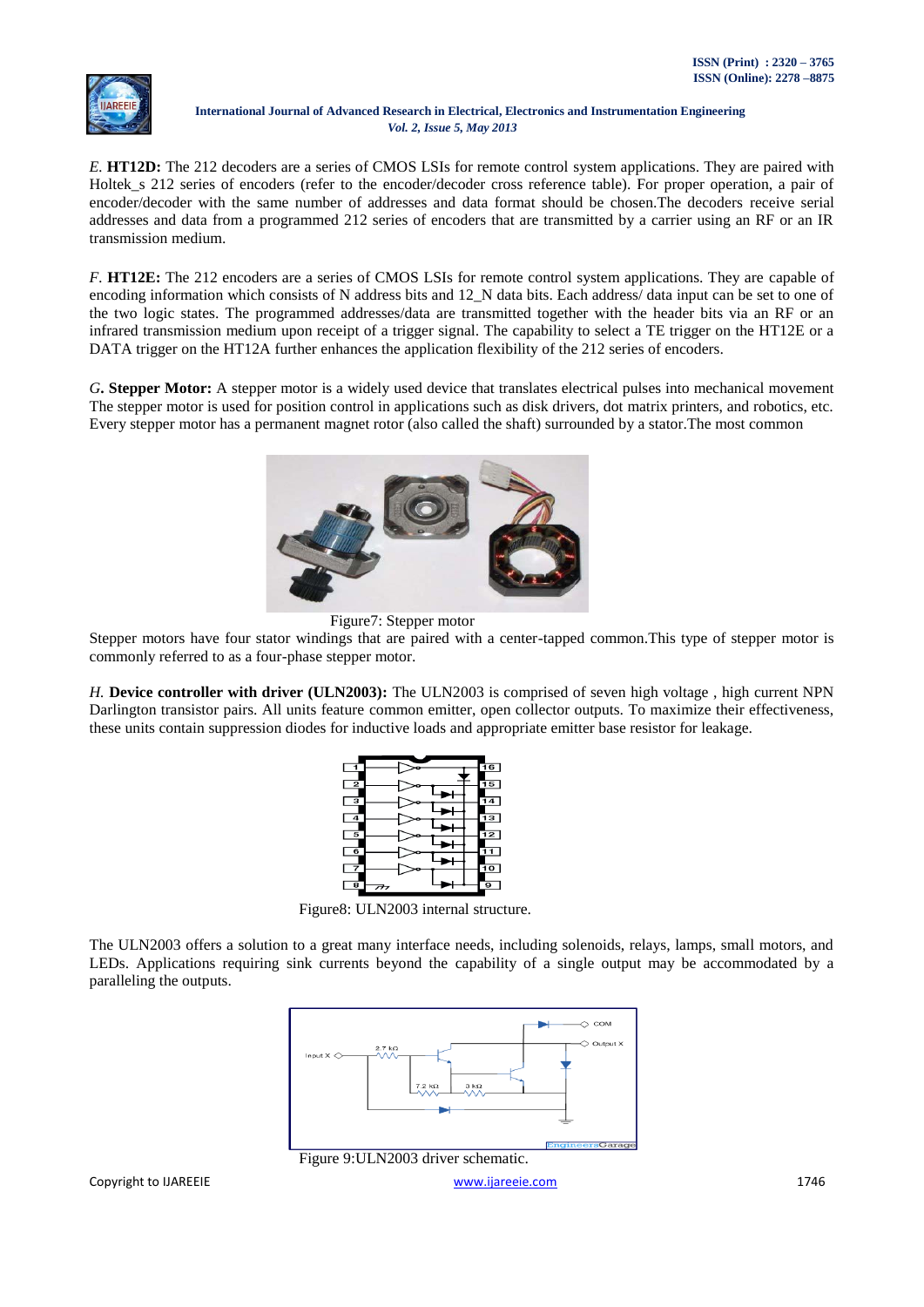*E.* **HT12D:** The 212 decoders are a series of CMOS LSIs for remote control system applications. They are paired with Holtek\_s 212 series of encoders (refer to the encoder/decoder cross reference table). For proper operation, a pair of encoder/decoder with the same number of addresses and data format should be chosen.The decoders receive serial addresses and data from a programmed 212 series of encoders that are transmitted by a carrier using an RF or an IR transmission medium.

*F.* **HT12E:** The 212 encoders are a series of CMOS LSIs for remote control system applications. They are capable of encoding information which consists of N address bits and 12\_N data bits. Each address/ data input can be set to one of the two logic states. The programmed addresses/data are transmitted together with the header bits via an RF or an infrared transmission medium upon receipt of a trigger signal. The capability to select a TE trigger on the HT12E or a DATA trigger on the HT12A further enhances the application flexibility of the 212 series of encoders.

*G***. Stepper Motor:** A stepper motor is a widely used device that translates electrical pulses into mechanical movement The stepper motor is used for position control in applications such as disk drivers, dot matrix printers, and robotics, etc. Every stepper motor has a permanent magnet rotor (also called the shaft) surrounded by a stator.The most common





Stepper motors have four stator windings that are paired with a center-tapped common.This type of stepper motor is commonly referred to as a four-phase stepper motor.

*H.* **Device controller with driver (ULN2003):** The ULN2003 is comprised of seven high voltage , high current NPN Darlington transistor pairs. All units feature common emitter, open collector outputs. To maximize their effectiveness, these units contain suppression diodes for inductive loads and appropriate emitter base resistor for leakage.



Figure8: ULN2003 internal structure.

The ULN2003 offers a solution to a great many interface needs, including solenoids, relays, lamps, small motors, and LEDs. Applications requiring sink currents beyond the capability of a single output may be accommodated by a paralleling the outputs.



Figure 9:ULN2003 driver schematic.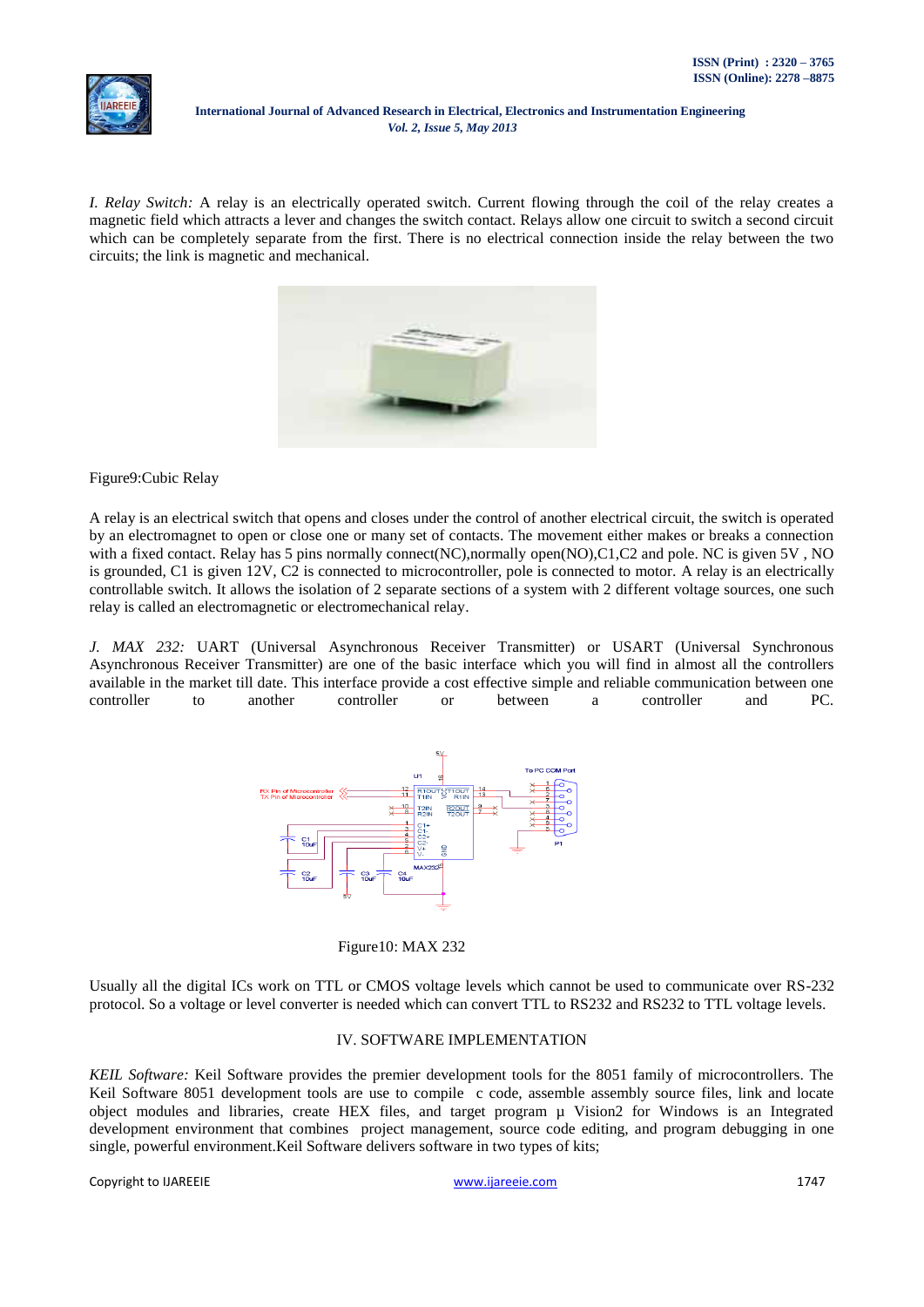*I. Relay Switch:* A relay is an electrically operated switch. Current flowing through the coil of the relay creates a magnetic field which attracts a lever and changes the switch contact. Relays allow one circuit to switch a second circuit which can be completely separate from the first. There is no electrical connection inside the relay between the two circuits; the link is magnetic and mechanical.



Figure9:Cubic Relay

A relay is an electrical switch that opens and closes under the control of another electrical circuit, the switch is operated by an electromagnet to open or close one or many set of contacts. The movement either makes or breaks a connection with a fixed contact. Relay has 5 pins normally connect(NC),normally open(NO),C1,C2 and pole. NC is given 5V, NO is grounded, C1 is given 12V, C2 is connected to microcontroller, pole is connected to motor. A relay is an electrically controllable switch. It allows the isolation of 2 separate sections of a system with 2 different voltage sources, one such relay is called an electromagnetic or electromechanical relay.

*J. MAX 232:* UART (Universal Asynchronous Receiver Transmitter) or USART (Universal Synchronous Asynchronous Receiver Transmitter) are one of the basic interface which you will find in almost all the controllers available in the market till date. This interface provide a cost effective simple and reliable communication between one controller to another controller or between a controller and PC.



Figure10: MAX 232

Usually all the digital ICs work on TTL or CMOS voltage levels which cannot be used to communicate over RS-232 protocol. So a voltage or level converter is needed which can convert TTL to RS232 and RS232 to TTL voltage levels.

## IV. SOFTWARE IMPLEMENTATION

*KEIL Software:* Keil Software provides the premier development tools for the 8051 family of microcontrollers. The Keil Software 8051 development tools are use to compile c code, assemble assembly source files, link and locate object modules and libraries, create HEX files, and target program µ Vision2 for Windows is an Integrated development environment that combines project management, source code editing, and program debugging in one single, powerful environment.Keil Software delivers software in two types of kits;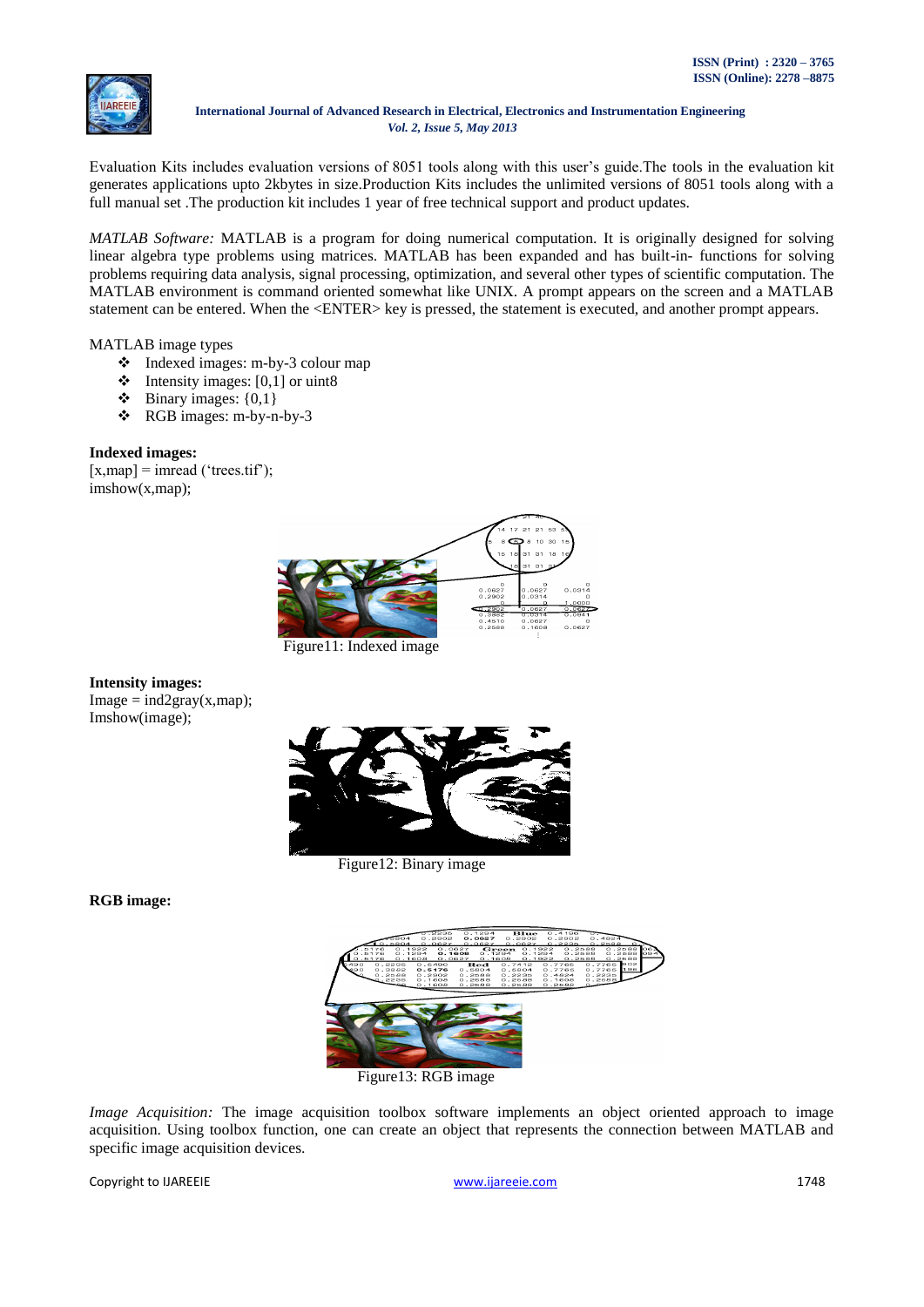

Evaluation Kits includes evaluation versions of 8051 tools along with this user"s guide.The tools in the evaluation kit generates applications upto 2kbytes in size.Production Kits includes the unlimited versions of 8051 tools along with a full manual set .The production kit includes 1 year of free technical support and product updates.

*MATLAB Software:* MATLAB is a program for doing numerical computation. It is originally designed for solving linear algebra type problems using matrices. MATLAB has been expanded and has built-in- functions for solving problems requiring data analysis, signal processing, optimization, and several other types of scientific computation. The MATLAB environment is command oriented somewhat like UNIX. A prompt appears on the screen and a MATLAB statement can be entered. When the <ENTER> key is pressed, the statement is executed, and another prompt appears.

MATLAB image types

- Indexed images: m-by-3 colour map
- $\triangleleft$  Intensity images: [0,1] or uint8
- $\bullet$  Binary images: {0,1}
- RGB images: m-by-n-by-3

## **Indexed images:**

 $[x, \text{map}] = \text{imread}$  ('trees.tif'); imshow(x,map);



Figure11: Indexed image

# **Intensity images:**  $Image = ind2gray(x, map);$

Imshow(image);



Figure12: Binary image

**RGB image:**



Figure13: RGB image

*Image Acquisition:* The image acquisition toolbox software implements an object oriented approach to image acquisition. Using toolbox function, one can create an object that represents the connection between MATLAB and specific image acquisition devices.